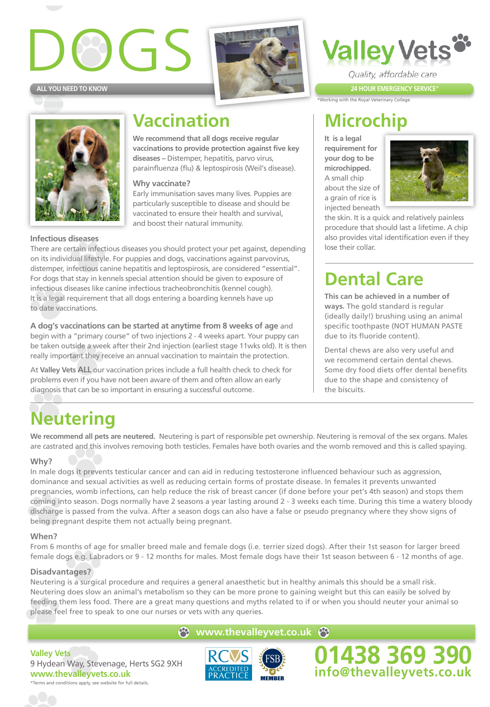## $\sqrt{75}$ **ALL YOU NEED TO KNOW**





## **Vaccination**

**We recommend that all dogs receive regular vaccinations to provide protection against five key diseases –** Distemper, hepatitis, parvo virus, parainfluenza (flu) & leptospirosis (Weil's disease).

#### **Why vaccinate?**

Early immunisation saves many lives. Puppies are particularly susceptible to disease and should be vaccinated to ensure their health and survival, and boost their natural immunity.

**Infectious diseases** There are certain infectious diseases you should protect your pet against, depending on its individual lifestyle. For puppies and dogs, vaccinations against parvovirus, distemper, infectious canine hepatitis and leptospirosis, are considered "essential". For dogs that stay in kennels special attention should be given to exposure of infectious diseases like canine infectious tracheobronchitis (kennel cough). It is a legal requirement that all dogs entering a boarding kennels have up to date vaccinations.

**A dog's vaccinations can be started at anytime from 8 weeks of age** and begin with a "primary course" of two injections 2 - 4 weeks apart. Your puppy can be taken outside a week after their 2nd injection (earliest stage 11wks old). It is then really important they receive an annual vaccination to maintain the protection.

At **Valley Vets ALL** our vaccination prices include a full health check to check for problems even if you have not been aware of them and often allow an early diagnosis that can be so important in ensuring a successful outcome.

## **Microchip**

.<br>Working with the Royal Veterinary College

**It is a legal requirement for your dog to be microchipped.** A small chip about the size of a grain of rice is injected beneath



the skin. It is a quick and relatively painless procedure that should last a lifetime. A chip also provides vital identification even if they lose their collar.

**24 HOUR EMERGENCY SERVICE**\*

Quality, affordable care

**alley Vets** 

## **Dental Care**

**This can be achieved in a number of ways.** The gold standard is regular (ideally daily!) brushing using an animal specific toothpaste (NOT HUMAN PASTE due to its fluoride content).

Dental chews are also very useful and we recommend certain dental chews. Some dry food diets offer dental benefits due to the shape and consistency of the biscuits.

## **Neutering**

**We recommend all pets are neutered.** Neutering is part of responsible pet ownership. Neutering is removal of the sex organs. Males are castrated and this involves removing both testicles. Females have both ovaries and the womb removed and this is called spaying.

#### **Why?**

In male dogs it prevents testicular cancer and can aid in reducing testosterone influenced behaviour such as aggression, dominance and sexual activities as well as reducing certain forms of prostate disease. In females it prevents unwanted pregnancies, womb infections, can help reduce the risk of breast cancer (if done before your pet's 4th season) and stops them coming into season. Dogs normally have 2 seasons a year lasting around 2 - 3 weeks each time. During this time a watery bloody discharge is passed from the vulva. After a season dogs can also have a false or pseudo pregnancy where they show signs of being pregnant despite them not actually being pregnant.

#### **When?**

From 6 months of age for smaller breed male and female dogs (i.e. terrier sized dogs). After their 1st season for larger breed female dogs e.g. Labradors or 9 - 12 months for males. Most female dogs have their 1st season between 6 - 12 months of age.

#### **Disadvantages?**

Neutering is a surgical procedure and requires a general anaesthetic but in healthy animals this should be a small risk. Neutering does slow an animal's metabolism so they can be more prone to gaining weight but this can easily be solved by feeding them less food. There are a great many questions and myths related to if or when you should neuter your animal so please feel free to speak to one our nurses or vets with any queries.

#### **e** www.thevalleyvet.co.uk

**Valley Vets**  9 Hydean Way, Stevenage, Herts SG2 9XH **www.thevalleyvets.co.uk** \*Terms and conditions apply, see website for full details.